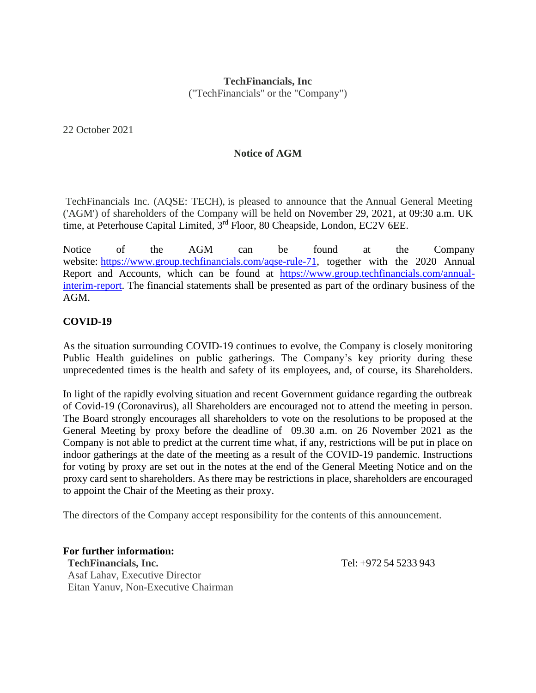## **TechFinancials, Inc**

("TechFinancials" or the "Company")

22 October 2021

## **Notice of AGM**

TechFinancials Inc. (AQSE: TECH), is pleased to announce that the Annual General Meeting ('AGM') of shareholders of the Company will be held on November 29, 2021, at 09:30 a.m. UK time, at Peterhouse Capital Limited, 3<sup>rd</sup> Floor, 80 Cheapside, London, EC2V 6EE.

Notice of the AGM can be found at the Company website: [https://www.group.techfinancials.com/aqse-rule-71,](https://www.group.techfinancials.com/aqse-rule-71) together with the 2020 Annual Report and Accounts, which can be found at [https://www.group.techfinancials.com/annual](https://www.group.techfinancials.com/annual-interim-report)[interim-report.](https://www.group.techfinancials.com/annual-interim-report) The financial statements shall be presented as part of the ordinary business of the AGM.

## **COVID-19**

As the situation surrounding COVID-19 continues to evolve, the Company is closely monitoring Public Health guidelines on public gatherings. The Company's key priority during these unprecedented times is the health and safety of its employees, and, of course, its Shareholders.

In light of the rapidly evolving situation and recent Government guidance regarding the outbreak of Covid-19 (Coronavirus), all Shareholders are encouraged not to attend the meeting in person. The Board strongly encourages all shareholders to vote on the resolutions to be proposed at the General Meeting by proxy before the deadline of 09.30 a.m. on 26 November 2021 as the Company is not able to predict at the current time what, if any, restrictions will be put in place on indoor gatherings at the date of the meeting as a result of the COVID-19 pandemic. Instructions for voting by proxy are set out in the notes at the end of the General Meeting Notice and on the proxy card sent to shareholders. As there may be restrictions in place, shareholders are encouraged to appoint the Chair of the Meeting as their proxy.

The directors of the Company accept responsibility for the contents of this announcement.

**For further information: TechFinancials, Inc.** Tel: +972 54 5233 943 Asaf Lahav, Executive Director Eitan Yanuv, Non-Executive Chairman